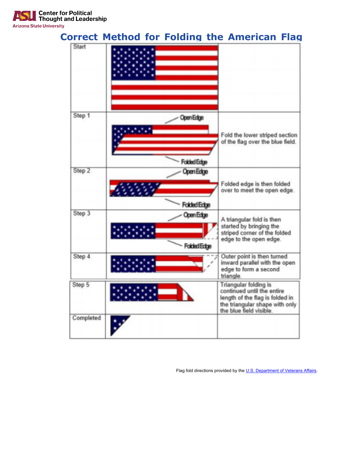

Flag fold directions provided by the U.S. Department of Veterans Affairs.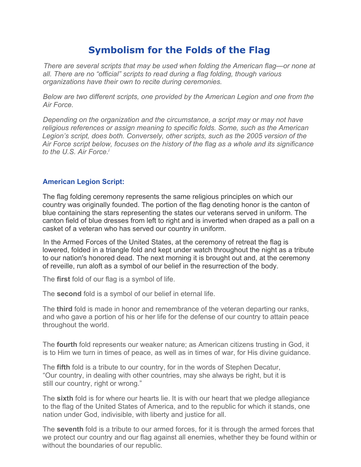## **Symbolism for the Folds of the Flag**

*There are several scripts that may be used when folding the American flag—or none at all. There are no "official" scripts to read during a flag folding, though various organizations have their own to recite during ceremonies.* 

*Below are two different scripts, one provided by the American Legion and one from the Air Force.* 

*Depending on the organization and the circumstance, a script may or may not have religious references or assign meaning to specific folds. Some, such as the American Legion's script, does both. Conversely, other scripts, such as the 2005 version of the Air Force script below, focuses on the history of the flag as a whole and its significance to the U.S. Air Force.i*

## **American Legion Script:**

The flag folding ceremony represents the same religious principles on which our country was originally founded. The portion of the flag denoting honor is the canton of blue containing the stars representing the states our veterans served in uniform. The canton field of blue dresses from left to right and is inverted when draped as a pall on a casket of a veteran who has served our country in uniform.

In the Armed Forces of the United States, at the ceremony of retreat the flag is lowered, folded in a triangle fold and kept under watch throughout the night as a tribute to our nation's honored dead. The next morning it is brought out and, at the ceremony of reveille, run aloft as a symbol of our belief in the resurrection of the body.

The **first** fold of our flag is a symbol of life.

The **second** fold is a symbol of our belief in eternal life.

The **third** fold is made in honor and remembrance of the veteran departing our ranks, and who gave a portion of his or her life for the defense of our country to attain peace throughout the world.

The **fourth** fold represents our weaker nature; as American citizens trusting in God, it is to Him we turn in times of peace, as well as in times of war, for His divine guidance.

The **fifth** fold is a tribute to our country, for in the words of Stephen Decatur, "Our country, in dealing with other countries, may she always be right, but it is still our country, right or wrong."

The **sixth** fold is for where our hearts lie. It is with our heart that we pledge allegiance to the flag of the United States of America, and to the republic for which it stands, one nation under God, indivisible, with liberty and justice for all.

The **seventh** fold is a tribute to our armed forces, for it is through the armed forces that we protect our country and our flag against all enemies, whether they be found within or without the boundaries of our republic.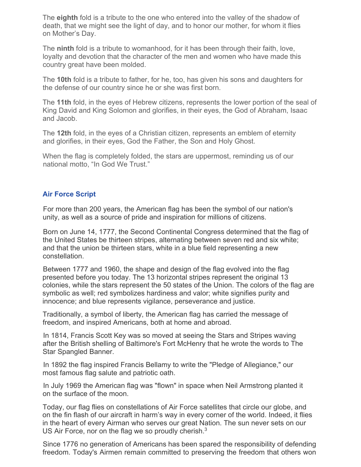The **eighth** fold is a tribute to the one who entered into the valley of the shadow of death, that we might see the light of day, and to honor our mother, for whom it flies on Mother's Day.

The **ninth** fold is a tribute to womanhood, for it has been through their faith, love, loyalty and devotion that the character of the men and women who have made this country great have been molded.

The **10th** fold is a tribute to father, for he, too, has given his sons and daughters for the defense of our country since he or she was first born.

The **11th** fold, in the eyes of Hebrew citizens, represents the lower portion of the seal of King David and King Solomon and glorifies, in their eyes, the God of Abraham, Isaac and Jacob.

The **12th** fold, in the eyes of a Christian citizen, represents an emblem of eternity and glorifies, in their eyes, God the Father, the Son and Holy Ghost.

When the flag is completely folded, the stars are uppermost, reminding us of our national motto, "In God We Trust."

## **Air Force Script**

For more than 200 years, the American flag has been the symbol of our nation's unity, as well as a source of pride and inspiration for millions of citizens.

Born on June 14, 1777, the Second Continental Congress determined that the flag of the United States be thirteen stripes, alternating between seven red and six white; and that the union be thirteen stars, white in a blue field representing a new constellation.

Between 1777 and 1960, the shape and design of the flag evolved into the flag presented before you today. The 13 horizontal stripes represent the original 13 colonies, while the stars represent the 50 states of the Union. The colors of the flag are symbolic as well; red symbolizes hardiness and valor; white signifies purity and innocence; and blue represents vigilance, perseverance and justice.

Traditionally, a symbol of liberty, the American flag has carried the message of freedom, and inspired Americans, both at home and abroad.

In 1814, Francis Scott Key was so moved at seeing the Stars and Stripes waving after the British shelling of Baltimore's Fort McHenry that he wrote the words to The Star Spangled Banner.

In 1892 the flag inspired Francis Bellamy to write the "Pledge of Allegiance," our most famous flag salute and patriotic oath.

In July 1969 the American flag was "flown" in space when Neil Armstrong planted it on the surface of the moon.

Today, our flag flies on constellations of Air Force satellites that circle our globe, and on the fin flash of our aircraft in harm's way in every corner of the world. Indeed, it flies in the heart of every Airman who serves our great Nation. The sun never sets on our US Air Force, nor on the flag we so proudly cherish.<sup>3</sup>

Since 1776 no generation of Americans has been spared the responsibility of defending freedom. Today's Airmen remain committed to preserving the freedom that others won